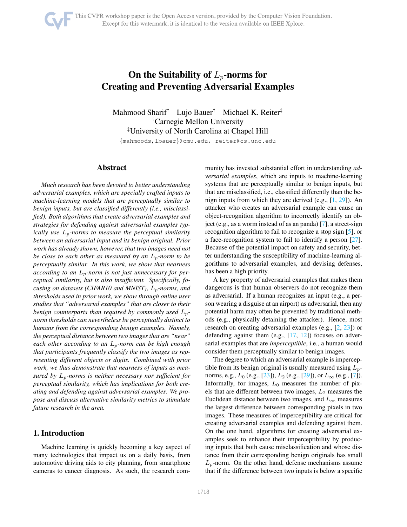# On the Suitability of  $L_p$ -norms for Creating and Preventing Adversarial Examples

Mahmood Sharif† Lujo Bauer† Michael K. Reiter‡ †Carnegie Mellon University ‡University of North Carolina at Chapel Hill

{mahmoods,lbauer}@cmu.edu, reiter@cs.unc.edu

# Abstract

*Much research has been devoted to better understanding adversarial examples, which are specially crafted inputs to machine-learning models that are perceptually similar to benign inputs, but are classified differently (i.e., misclassified). Both algorithms that create adversarial examples and strategies for defending against adversarial examples typically use*  $L_p$ -norms to measure the perceptual similarity *between an adversarial input and its benign original. Prior work has already shown, however, that two images need not be close to each other as measured by an*  $L_p$ -norm to be *perceptually similar. In this work, we show that nearness according to an* Lp*-norm is not just unnecessary for perceptual similarity, but is also insufficient. Specifically, focusing on datasets (CIFAR10 and MNIST), L<sub>p</sub>-norms, and thresholds used in prior work, we show through online user studies that "adversarial examples" that are closer to their benign counterparts than required by commonly used*  $L_p$ *norm thresholds can nevertheless be perceptually distinct to humans from the corresponding benign examples. Namely, the perceptual distance between two images that are "near" each other according to an*  $L_p$ -norm can be high enough *that participants frequently classify the two images as representing different objects or digits. Combined with prior work, we thus demonstrate that nearness of inputs as measured by* Lp*-norms is neither necessary nor sufficient for perceptual similarity, which has implications for both creating and defending against adversarial examples. We propose and discuss alternative similarity metrics to stimulate future research in the area.*

# 1. Introduction

Machine learning is quickly becoming a key aspect of many technologies that impact us on a daily basis, from automotive driving aids to city planning, from smartphone cameras to cancer diagnosis. As such, the research community has invested substantial effort in understanding *adversarial examples*, which are inputs to machine-learning systems that are perceptually similar to benign inputs, but that are misclassified, i.e., classified differently than the benign inputs from which they are derived (e.g.,  $[1, 29]$  $[1, 29]$ ). An attacker who creates an adversarial example can cause an object-recognition algorithm to incorrectly identify an object (e.g., as a worm instead of as an panda) [\[7\]](#page-7-1), a street-sign recognition algorithm to fail to recognize a stop sign [\[5\]](#page-7-2), or a face-recognition system to fail to identify a person [\[27\]](#page-8-1). Because of the potential impact on safety and security, better understanding the susceptibility of machine-learning algorithms to adversarial examples, and devising defenses, has been a high priority.

A key property of adversarial examples that makes them dangerous is that human observers do not recognize them as adversarial. If a human recognizes an input (e.g., a person wearing a disguise at an airport) as adversarial, then any potential harm may often be prevented by traditional methods (e.g., physically detaining the attacker). Hence, most research on creating adversarial examples (e.g., [\[2,](#page-7-3) [23\]](#page-8-2)) or defending against them (e.g., [\[17,](#page-8-3) [12\]](#page-7-4)) focuses on adversarial examples that are *imperceptible*, i.e., a human would consider them perceptually similar to benign images.

The degree to which an adversarial example is imperceptible from its benign original is usually measured using  $L_p$ norms, e.g.,  $L_0$  (e.g., [\[23\]](#page-8-2)),  $L_2$  (e.g., [\[29\]](#page-8-0)), or  $L_{\infty}$  (e.g., [\[7\]](#page-7-1)). Informally, for images,  $L_0$  measures the number of pixels that are different between two images,  $L_2$  measures the Euclidean distance between two images, and  $L_{\infty}$  measures the largest difference between corresponding pixels in two images. These measures of imperceptibility are critical for creating adversarial examples and defending against them. On the one hand, algorithms for creating adversarial examples seek to enhance their imperceptibility by producing inputs that both cause misclassification and whose distance from their corresponding benign originals has small  $L_p$ -norm. On the other hand, defense mechanisms assume that if the difference between two inputs is below a specific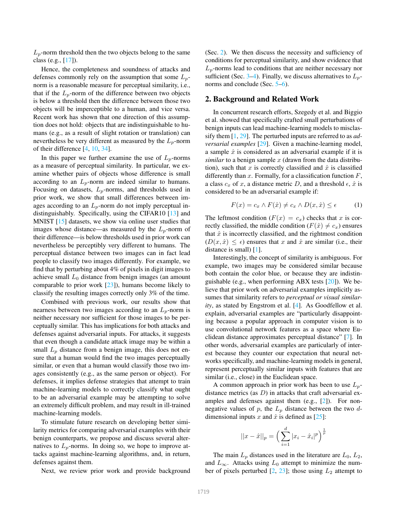$L_p$ -norm threshold then the two objects belong to the same class (e.g., [\[17\]](#page-8-3)).

Hence, the completeness and soundness of attacks and defenses commonly rely on the assumption that some  $L_p$ norm is a reasonable measure for perceptual similarity, i.e., that if the  $L_p$ -norm of the difference between two objects is below a threshold then the difference between those two objects will be imperceptible to a human, and vice versa. Recent work has shown that one direction of this assumption does not hold: objects that are indistinguishable to humans (e.g., as a result of slight rotation or translation) can nevertheless be very different as measured by the  $L_p$ -norm of their difference [\[4,](#page-7-5) [10,](#page-7-6) [34\]](#page-8-4).

In this paper we further examine the use of  $L_p$ -norms as a measure of perceptual similarity. In particular, we examine whether pairs of objects whose difference is small according to an  $L_p$ -norm are indeed similar to humans. Focusing on datasets,  $L_p$ -norms, and thresholds used in prior work, we show that small differences between images according to an  $L_p$ -norm do not imply perceptual indistinguishably. Specifically, using the CIFAR10 [\[13\]](#page-7-7) and MNIST [\[15\]](#page-8-5) datasets, we show via online user studies that images whose distance—as measured by the  $L_p$ -norm of their difference—is below thresholds used in prior work can nevertheless be perceptibly very different to humans. The perceptual distance between two images can in fact lead people to classify two images differently. For example, we find that by perturbing about 4% of pixels in digit images to achieve small  $L_0$  distance from benign images (an amount comparable to prior work [\[23\]](#page-8-2)), humans become likely to classify the resulting images correctly only 3% of the time.

Combined with previous work, our results show that nearness between two images according to an  $L_p$ -norm is neither necessary nor sufficient for those images to be perceptually similar. This has implications for both attacks and defenses against adversarial inputs. For attacks, it suggests that even though a candidate attack image may be within a small  $L_p$  distance from a benign image, this does not ensure that a human would find the two images perceptually similar, or even that a human would classify those two images consistently (e.g., as the same person or object). For defenses, it implies defense strategies that attempt to train machine-learning models to correctly classify what ought to be an adversarial example may be attempting to solve an extremely difficult problem, and may result in ill-trained machine-learning models.

To stimulate future research on developing better similarity metrics for comparing adversarial examples with their benign counterparts, we propose and discuss several alternatives to  $L_p$ -norms. In doing so, we hope to improve attacks against machine-learning algorithms, and, in return, defenses against them.

Next, we review prior work and provide background

(Sec. [2\)](#page-1-0). We then discuss the necessity and sufficiency of conditions for perceptual similarity, and show evidence that  $L_p$ -norms lead to conditions that are neither necessary nor sufficient (Sec. [3–](#page-2-0)[4\)](#page-3-0). Finally, we discuss alternatives to  $L_p$ norms and conclude (Sec. [5](#page-6-0)[–6\)](#page-7-8).

## <span id="page-1-0"></span>2. Background and Related Work

In concurrent research efforts, Szegedy et al. and Biggio et al. showed that specifically crafted small perturbations of benign inputs can lead machine-learning models to misclassify them [\[1,](#page-7-0) [29\]](#page-8-0). The perturbed inputs are referred to as *adversarial examples* [\[29\]](#page-8-0). Given a machine-learning model, a sample  $\hat{x}$  is considered as an adversarial example if it is *similar* to a benign sample  $x$  (drawn from the data distribution), such that x is correctly classified and  $\hat{x}$  is classified differently than  $x$ . Formally, for a classification function  $F$ , a class  $c_x$  of x, a distance metric D, and a threshold  $\epsilon$ ,  $\hat{x}$  is considered to be an adversarial example if:

<span id="page-1-1"></span>
$$
F(x) = c_x \wedge F(\hat{x}) \neq c_x \wedge D(x, \hat{x}) \leq \epsilon \tag{1}
$$

The leftmost condition  $(F(x) = c_x)$  checks that x is correctly classified, the middle condition ( $F(\hat{x}) \neq c_x$ ) ensures that  $\hat{x}$  is incorrectly classified, and the rightmost condition  $(D(x, \hat{x}) \leq \epsilon)$  ensures that x and  $\hat{x}$  are similar (i.e., their distance is small) [\[1\]](#page-7-0).

Interestingly, the concept of similarity is ambiguous. For example, two images may be considered similar because both contain the color blue, or because they are indistinguishable (e.g., when performing ABX tests [\[20\]](#page-8-6)). We believe that prior work on adversarial examples implicitly assumes that similarity refers to *perceptual or visual similarity*, as stated by Engstrom et al. [\[4\]](#page-7-5). As Goodfellow et al. explain, adversarial examples are "particularly disappointing because a popular approach in computer vision is to use convolutional network features as a space where Euclidean distance approximates perceptual distance" [\[7\]](#page-7-1). In other words, adversarial examples are particularly of interest because they counter our expectation that neural networks specifically, and machine-learning models in general, represent perceptually similar inputs with features that are similar (i.e., close) in the Euclidean space.

A common approach in prior work has been to use  $L_p$ distance metrics (as  $D$ ) in attacks that craft adversarial examples and defenses against them (e.g., [\[2\]](#page-7-3)). For nonnegative values of p, the  $L_p$  distance between the two ddimensional inputs x and  $\hat{x}$  is defined as [\[25\]](#page-8-7):

$$
||x - \hat{x}||_p = \left(\sum_{i=1}^d |x_i - \hat{x}_i|^p\right)^{\frac{1}{p}}
$$

The main  $L_p$  distances used in the literature are  $L_0$ ,  $L_2$ , and  $L_{\infty}$ . Attacks using  $L_0$  attempt to minimize the number of pixels perturbed  $[2, 23]$  $[2, 23]$ ; those using  $L_2$  attempt to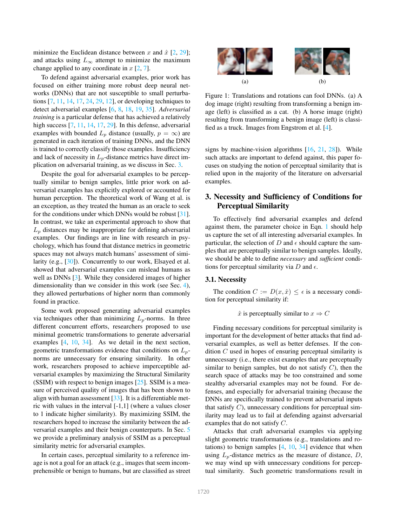minimize the Euclidean distance between x and  $\hat{x}$  [\[2,](#page-7-3) [29\]](#page-8-0); and attacks using  $L_{\infty}$  attempt to minimize the maximum change applied to any coordinate in  $x$  [\[2,](#page-7-3) [7\]](#page-7-1).

To defend against adversarial examples, prior work has focused on either training more robust deep neural networks (DNNs) that are not susceptible to small perturbations [\[7,](#page-7-1) [11,](#page-7-9) [14,](#page-7-10) [17,](#page-8-3) [24,](#page-8-8) [29,](#page-8-0) [12\]](#page-7-4), or developing techniques to detect adversarial examples [\[6,](#page-7-11) [8,](#page-7-12) [18,](#page-8-9) [19,](#page-8-10) [35\]](#page-8-11). *Adversarial training* is a particular defense that has achieved a relatively high success [\[7,](#page-7-1) [11,](#page-7-9) [14,](#page-7-10) [17,](#page-8-3) [29\]](#page-8-0). In this defense, adversarial examples with bounded  $L_p$  distance (usually,  $p = \infty$ ) are generated in each iteration of training DNNs, and the DNN is trained to correctly classify those examples. Insufficiency and lack of necessity in  $L_p$ -distance metrics have direct implication on adversarial training, as we discuss in Sec. [3.](#page-2-0)

Despite the goal for adversarial examples to be perceptually similar to benign samples, little prior work on adversarial examples has explicitly explored or accounted for human perception. The theoretical work of Wang et al. is an exception, as they treated the human as an oracle to seek for the conditions under which DNNs would be robust [\[31\]](#page-8-12). In contrast, we take an experimental approach to show that  $L<sub>p</sub>$  distances may be inappropriate for defining adversarial examples. Our findings are in line with research in psychology, which has found that distance metrics in geometric spaces may not always match humans' assessment of similarity (e.g., [\[30\]](#page-8-13)). Concurrently to our work, Elsayed et al. showed that adversarial examples can mislead humans as well as DNNs [\[3\]](#page-7-13). While they considered images of higher dimensionality than we consider in this work (see Sec. [4\)](#page-3-0), they allowed perturbations of higher norm than commonly found in practice.

Some work proposed generating adversarial examples via techniques other than minimizing  $L_p$ -norms. In three different concurrent efforts, researchers proposed to use minimal geometric transformations to generate adversarial examples [\[4,](#page-7-5) [10,](#page-7-6) [34\]](#page-8-4). As we detail in the next section, geometric transformations evidence that conditions on  $L_p$ norms are unnecessary for ensuring similarity. In other work, researchers proposed to achieve imperceptible adversarial examples by maximizing the Structural Similarity (SSIM) with respect to benign images [\[25\]](#page-8-7). SSIM is a measure of perceived quality of images that has been shown to align with human assessment [\[33\]](#page-8-14). It is a differentiable metric with values in the interval [-1,1] (where a values closer to 1 indicate higher similarity). By maximizing SSIM, the researchers hoped to increase the similarity between the adversarial examples and their benign counterparts. In Sec. [5](#page-6-0) we provide a preliminary analysis of SSIM as a perceptual similarity metric for adversarial examples.

In certain cases, perceptual similarity to a reference image is not a goal for an attack (e.g., images that seem incomprehensible or benign to humans, but are classified as street

<span id="page-2-1"></span>

Figure 1: Translations and rotations can fool DNNs. (a) A dog image (right) resulting from transforming a benign image (left) is classified as a cat. (b) A horse image (right) resulting from transforming a benign image (left) is classified as a truck. Images from Engstrom et al. [\[4\]](#page-7-5).

signs by machine-vision algorithms  $[16, 21, 28]$  $[16, 21, 28]$  $[16, 21, 28]$  $[16, 21, 28]$ ). While such attacks are important to defend against, this paper focuses on studying the notion of perceptual similarity that is relied upon in the majority of the literature on adversarial examples.

# <span id="page-2-0"></span>3. Necessity and Sufficiency of Conditions for Perceptual Similarity

To effectively find adversarial examples and defend against them, the parameter choice in Eqn. [1](#page-1-1) should help us capture the set of all interesting adversarial examples. In particular, the selection of D and  $\epsilon$  should capture the samples that are perceptually similar to benign samples. Ideally, we should be able to define *necessary* and *sufficient* conditions for perceptual similarity via D and  $\epsilon$ .

#### 3.1. Necessity

The condition  $C := D(x, \hat{x}) \leq \epsilon$  is a necessary condition for perceptual similarity if:

 $\hat{x}$  is perceptually similar to  $x \Rightarrow C$ 

Finding necessary conditions for perceptual similarity is important for the development of better attacks that find adversarial examples, as well as better defenses. If the condition  $C$  used in hopes of ensuring perceptual similarity is unnecessary (i.e., there exist examples that are perceptually similar to benign samples, but do not satisfy  $C$ ), then the search space of attacks may be too constrained and some stealthy adversarial examples may not be found. For defenses, and especially for adversarial training (because the DNNs are specifically trained to prevent adversarial inputs that satisfy  $C$ ), unnecessary conditions for perceptual similarity may lead us to fail at defending against adversarial examples that do not satisfy C.

Attacks that craft adversarial examples via applying slight geometric transformations (e.g., translations and rotations) to benign samples  $[4, 10, 34]$  $[4, 10, 34]$  $[4, 10, 34]$  $[4, 10, 34]$  evidence that when using  $L_p$ -distance metrics as the measure of distance, D, we may wind up with unnecessary conditions for perceptual similarity. Such geometric transformations result in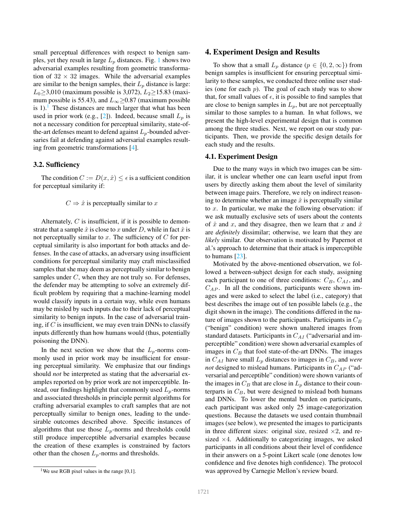small perceptual differences with respect to benign samples, yet they result in large  $L_p$  distances. Fig. [1](#page-2-1) shows two adversarial examples resulting from geometric transformation of  $32 \times 32$  images. While the adversarial examples are similar to the benign samples, their  $L_p$  distance is large:  $L_0 \geq 3,010$  (maximum possible is 3,072),  $L_2 \geq 15.83$  (maximum possible is 55.43), and  $L_{\infty} \ge 0.87$  (maximum possible is [1](#page-3-1)). $\frac{1}{1}$  These distances are much larger that what has been used in prior work (e.g., [\[2\]](#page-7-3)). Indeed, because small  $L_p$  is not a necessary condition for perceptual similarity, state-ofthe-art defenses meant to defend against  $L_p$ -bounded adversaries fail at defending against adversarial examples resulting from geometric transformations [\[4\]](#page-7-5).

#### 3.2. Sufficiency

The condition  $C := D(x, \hat{x}) \leq \epsilon$  is a sufficient condition for perceptual similarity if:

 $C \Rightarrow \hat{x}$  is perceptually similar to x

Alternately,  $C$  is insufficient, if it is possible to demonstrate that a sample  $\hat{x}$  is close to x under D, while in fact  $\hat{x}$  is not perceptually similar to  $x$ . The sufficiency of  $C$  for perceptual similarity is also important for both attacks and defenses. In the case of attacks, an adversary using insufficient conditions for perceptual similarity may craft misclassified samples that she may deem as perceptually similar to benign samples under  $C$ , when they are not truly so. For defenses, the defender may be attempting to solve an extremely difficult problem by requiring that a machine-learning model would classify inputs in a certain way, while even humans may be misled by such inputs due to their lack of perceptual similarity to benign inputs. In the case of adversarial training, if  $C$  is insufficient, we may even train DNNs to classify inputs differently than how humans would (thus, potentially poisoning the DNN).

In the next section we show that the  $L_p$ -norms commonly used in prior work may be insufficient for ensuring perceptual similarity. We emphasize that our findings should *not* be interpreted as stating that the adversarial examples reported on by prior work are not imperceptible. Instead, our findings highlight that commonly used  $L_p$ -norms and associated thresholds in principle permit algorithms for crafting adversarial examples to craft samples that are not perceptually similar to benign ones, leading to the undesirable outcomes described above. Specific instances of algorithms that use those  $L_p$ -norms and thresholds could still produce imperceptible adversarial examples because the creation of these examples is constrained by factors other than the chosen  $L_p$ -norms and thresholds.

#### <span id="page-3-0"></span>4. Experiment Design and Results

To show that a small  $L_p$  distance  $(p \in \{0, 2, \infty\})$  from benign samples is insufficient for ensuring perceptual similarity to these samples, we conducted three online user studies (one for each  $p$ ). The goal of each study was to show that, for small values of  $\epsilon$ , it is possible to find samples that are close to benign samples in  $L_p$ , but are not perceptually similar to those samples to a human. In what follows, we present the high-level experimental design that is common among the three studies. Next, we report on our study participants. Then, we provide the specific design details for each study and the results.

### 4.1. Experiment Design

Due to the many ways in which two images can be similar, it is unclear whether one can learn useful input from users by directly asking them about the level of similarity between image pairs. Therefore, we rely on indirect reasoning to determine whether an image  $\hat{x}$  is perceptually similar to  $x$ . In particular, we make the following observation: if we ask mutually exclusive sets of users about the contents of  $\hat{x}$  and x, and they disagree, then we learn that x and  $\hat{x}$ are *definitely* dissimilar; otherwise, we learn that they are *likely* similar. Our observation is motivated by Papernot et al.'s approach to determine that their attack is imperceptible to humans [\[23\]](#page-8-2).

Motivated by the above-mentioned observation, we followed a between-subject design for each study, assigning each participant to one of three conditions:  $C_B$ ,  $C_{AI}$ , and  $C_{AP}$ . In all the conditions, participants were shown images and were asked to select the label (i.e., category) that best describes the image out of ten possible labels (e.g., the digit shown in the image). The conditions differed in the nature of images shown to the participants. Participants in  $C_B$ ("benign" condition) were shown unaltered images from standard datasets. Participants in  $C_{AI}$  ("adversarial and imperceptible" condition) were shown adversarial examples of images in  $C_B$  that fool state-of-the-art DNNs. The images in  $C_{AI}$  have small  $L_p$  distances to images in  $C_B$ , and *were not* designed to mislead humans. Participants in  $C_{AP}$  ("adversarial and perceptible" condition) were shown variants of the images in  $C_B$  that are close in  $L_p$  distance to their counterparts in  $C_B$ , but were designed to mislead both humans and DNNs. To lower the mental burden on participants, each participant was asked only 25 image-categorization questions. Because the datasets we used contain thumbnail images (see below), we presented the images to participants in three different sizes: original size, resized  $\times$ 2, and resized  $\times$ 4. Additionally to categorizing images, we asked participants in all conditions about their level of confidence in their answers on a 5-point Likert scale (one denotes low confidence and five denotes high confidence). The protocol was approved by Carnegie Mellon's review board.

<span id="page-3-1"></span><sup>&</sup>lt;sup>1</sup>We use RGB pixel values in the range  $[0,1]$ .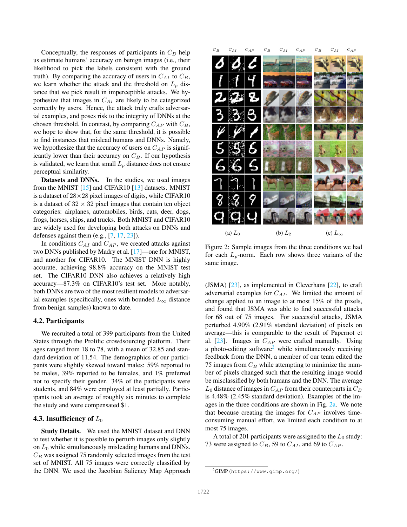Conceptually, the responses of participants in  $C_B$  help us estimate humans' accuracy on benign images (i.e., their likelihood to pick the labels consistent with the ground truth). By comparing the accuracy of users in  $C_{AI}$  to  $C_B$ , we learn whether the attack and the threshold on  $L_p$  distance that we pick result in imperceptible attacks. We hypothesize that images in  $C_{AI}$  are likely to be categorized correctly by users. Hence, the attack truly crafts adversarial examples, and poses risk to the integrity of DNNs at the chosen threshold. In contrast, by comparing  $C_{AP}$  with  $C_B$ , we hope to show that, for the same threshold, it is possible to find instances that mislead humans and DNNs. Namely, we hypothesize that the accuracy of users on  $C_{AP}$  is significantly lower than their accuracy on  $C_B$ . If our hypothesis is validated, we learn that small  $L_p$  distance does not ensure perceptual similarity.

Datasets and DNNs. In the studies, we used images from the MNIST [\[15\]](#page-8-5) and CIFAR10 [\[13\]](#page-7-7) datasets. MNIST is a dataset of  $28\times28$  pixel images of digits, while CIFAR10 is a dataset of  $32 \times 32$  pixel images that contain ten object categories: airplanes, automobiles, birds, cats, deer, dogs, frogs, horses, ships, and trucks. Both MNIST and CIFAR10 are widely used for developing both attacks on DNNs and defenses against them (e.g., [\[7,](#page-7-1) [17,](#page-8-3) [23\]](#page-8-2)).

In conditions  $C_{AI}$  and  $C_{AP}$ , we created attacks against two DNNs published by Madry et al. [\[17\]](#page-8-3)—one for MNIST, and another for CIFAR10. The MNIST DNN is highly accurate, achieving 98.8% accuracy on the MNIST test set. The CIFAR10 DNN also achieves a relatively high accuracy—87.3% on CIFAR10's test set. More notably, both DNNs are two of the most resilient models to adversarial examples (specifically, ones with bounded  $L_{\infty}$  distance from benign samples) known to date.

# 4.2. Participants

We recruited a total of 399 participants from the United States through the Prolific crowdsourcing platform. Their ages ranged from 18 to 78, with a mean of 32.85 and standard deviation of 11.54. The demographics of our participants were slightly skewed toward males: 59% reported to be males, 39% reported to be females, and 1% preferred not to specify their gender. 34% of the participants were students, and 84% were employed at least partially. Participants took an average of roughly six minutes to complete the study and were compensated \$1.

## 4.3. Insufficiency of  $L_0$

Study Details. We used the MNIST dataset and DNN to test whether it is possible to perturb images only slightly on  $L_0$  while simultaneously misleading humans and DNNs.  $C_B$  was assigned 75 randomly selected images from the test set of MNIST. All 75 images were correctly classified by the DNN. We used the Jacobian Saliency Map Approach

<span id="page-4-1"></span>



Figure 2: Sample images from the three conditions we had for each  $L_p$ -norm. Each row shows three variants of the same image.

(JSMA) [\[23\]](#page-8-2), as implemented in Cleverhans [\[22\]](#page-8-18), to craft adversarial examples for  $C_{AI}$ . We limited the amount of change applied to an image to at most 15% of the pixels, and found that JSMA was able to find successful attacks for 68 out of 75 images. For successful attacks, JSMA perturbed 4.90% (2.91% standard deviation) of pixels on average—this is comparable to the result of Papernot et al.  $[23]$ . Images in  $C_{AP}$  were crafted manually. Using a photo-editing software<sup>[2](#page-4-0)</sup> while simultaneously receiving feedback from the DNN, a member of our team edited the 75 images from  $C_B$  while attempting to minimize the number of pixels changed such that the resulting image would be misclassified by both humans and the DNN. The average  $L_0$  distance of images in  $C_{AP}$  from their counterparts in  $C_B$ is 4.48% (2.45% standard deviation). Examples of the images in the three conditions are shown in Fig. [2a.](#page-4-1) We note that because creating the images for  $C_{AP}$  involves timeconsuming manual effort, we limited each condition to at most 75 images.

A total of 201 participants were assigned to the  $L_0$  study: 73 were assigned to  $C_B$ , 59 to  $C_{AI}$ , and 69 to  $C_{AP}$ .

<span id="page-4-0"></span><sup>2</sup>GIMP (<https://www.gimp.org/>)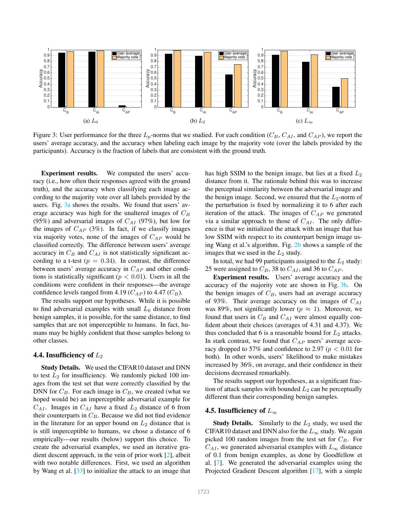<span id="page-5-0"></span>

Figure 3: User performance for the three  $L_p$ -norms that we studied. For each condition ( $C_B$ ,  $C_{AI}$ , and  $C_{AP}$ ), we report the users' average accuracy, and the accuracy when labeling each image by the majority vote (over the labels provided by the participants). Accuracy is the fraction of labels that are consistent with the ground truth.

Experiment results. We computed the users' accuracy (i.e., how often their responses agreed with the ground truth), and the accuracy when classifying each image according to the majority vote over all labels provided by the users. Fig. [3a](#page-5-0) shows the results. We found that users' average accuracy was high for the unaltered images of  $C_B$ (95%) and adversarial images of  $C_{AI}$  (97%), but low for the images of  $C_{AP}$  (3%). In fact, if we classify images via majority votes, none of the images of  $C_{AP}$  would be classified correctly. The difference between users' average accuracy in  $C_B$  and  $C_{AI}$  is not statistically significant according to a t-test ( $p = 0.34$ ). In contrast, the difference between users' average accuracy in  $C_{AP}$  and other conditions is statistically significant ( $p < 0.01$ ). Users in all the conditions were confident in their responses—the average confidence levels ranged from 4.19 ( $C_{AP}$ ) to 4.47 ( $C_{B}$ ).

The results support our hypotheses. While it is possible to find adversarial examples with small  $L_0$  distance from benign samples, it is possible, for the same distance, to find samples that are not imperceptible to humans. In fact, humans may be highly confident that those samples belong to other classes.

# 4.4. Insufficiency of  $L_2$

Study Details. We used the CIFAR10 dataset and DNN to test  $L_2$  for insufficiency. We randomly picked 100 images from the test set that were correctly classified by the DNN for  $C_B$ . For each image in  $C_B$ , we created (what we hoped would be) an imperceptible adversarial example for  $C_{AI}$ . Images in  $C_{AI}$  have a fixed  $L_2$  distance of 6 from their counterparts in  $C_B$ . Because we did not find evidence in the literature for an upper bound on  $L_2$  distance that is is still imperceptible to humans, we chose a distance of 6 empirically—our results (below) support this choice. To create the adversarial examples, we used an iterative gradient descent approach, in the vein of prior work [\[2\]](#page-7-3), albeit with two notable differences. First, we used an algorithm by Wang et al. [\[33\]](#page-8-14) to initialize the attack to an image that

has high SSIM to the benign image, but lies at a fixed  $L_2$ distance from it. The rationale behind this was to increase the perceptual similarity between the adversarial image and the benign image. Second, we ensured that the  $L_2$ -norm of the perturbation is fixed by normalizing it to 6 after each iteration of the attack. The images of  $C_{AP}$  we generated via a similar approach to those of  $C_{AI}$ . The only difference is that we initialized the attack with an image that has low SSIM with respect to its counterpart benign image using Wang et al.'s algorithm. Fig. [2b](#page-4-1) shows a sample of the images that we used in the  $L_2$  study.

In total, we had 99 participants assigned to the  $L_2$  study: 25 were assigned to  $C_B$ , 38 to  $C_{AI}$ , and 36 to  $C_{AP}$ .

Experiment results. Users' average accuracy and the accuracy of the majority vote are shown in Fig. [3b.](#page-5-0) On the benign images of  $C_B$ , users had an average accuracy of 93%. Their average accuracy on the images of  $C_{AI}$ was 89%, not significantly lower ( $p \approx 1$ ). Moreover, we found that users in  $C_B$  and  $C_{AI}$  were almost equally confident about their choices (averages of 4.31 and 4.37). We thus concluded that 6 is a reasonable bound for  $L_2$  attacks. In stark contrast, we found that  $C_{AP}$  users' average accuracy dropped to 57% and confidence to 2.97 ( $p < 0.01$  for both). In other words, users' likelihood to make mistakes increased by 36%, on average, and their confidence in their decisions decreased remarkably.

The results support our hypotheses, as a significant fraction of attack samples with bounded  $L_2$  can be perceptually different than their corresponding benign samples.

#### 4.5. Insufficiency of  $L_{\infty}$

**Study Details.** Similarly to the  $L_2$  study, we used the CIFAR10 dataset and DNN also for the  $L_{\infty}$  study. We again picked 100 random images from the test set for  $C_B$ . For  $C_{AI}$ , we generated adversarial examples with  $L_{\infty}$  distance of 0.1 from benign examples, as done by Goodfellow et al. [\[7\]](#page-7-1). We generated the adversarial examples using the Projected Gradient Descent algorithm [\[17\]](#page-8-3), with a simple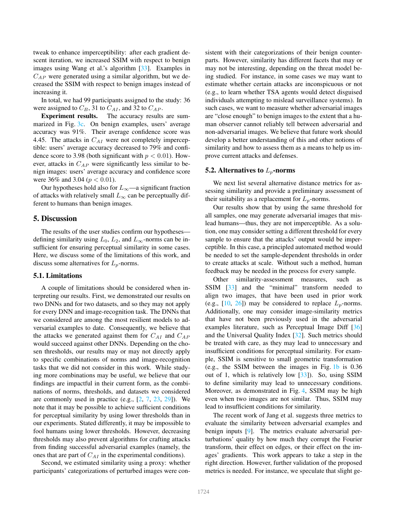tweak to enhance imperceptibility: after each gradient descent iteration, we increased SSIM with respect to benign images using Wang et al.'s algorithm [\[33\]](#page-8-14). Examples in  $C_{AP}$  were generated using a similar algorithm, but we decreased the SSIM with respect to benign images instead of increasing it.

In total, we had 99 participants assigned to the study: 36 were assigned to  $C_B$ , 31 to  $C_{AI}$ , and 32 to  $C_{AP}$ .

Experiment results. The accuracy results are summarized in Fig. [3c.](#page-5-0) On benign examples, users' average accuracy was 91%. Their average confidence score was 4.45. The attacks in  $C_{AI}$  were not completely imperceptible: users' average accuracy decreased to 79% and confidence score to 3.98 (both significant with  $p < 0.01$ ). However, attacks in  $C_{AP}$  were significantly less similar to benign images: users' average accuracy and confidence score were 36% and 3.04 ( $p < 0.01$ ).

Our hypotheses hold also for  $L_{\infty}$ —a significant fraction of attacks with relatively small  $L_{\infty}$  can be perceptually different to humans than benign images.

## <span id="page-6-0"></span>5. Discussion

The results of the user studies confirm our hypotheses defining similarity using  $L_0$ ,  $L_2$ , and  $L_{\infty}$ -norms can be insufficient for ensuring perceptual similarity in some cases. Here, we discuss some of the limitations of this work, and discuss some alternatives for  $L_p$ -norms.

#### 5.1. Limitations

A couple of limitations should be considered when interpreting our results. First, we demonstrated our results on two DNNs and for two datasets, and so they may not apply for every DNN and image-recognition task. The DNNs that we considered are among the most resilient models to adversarial examples to date. Consequently, we believe that the attacks we generated against them for  $C_{AI}$  and  $C_{AP}$ would succeed against other DNNs. Depending on the chosen thresholds, our results may or may not directly apply to specific combinations of norms and image-recognition tasks that we did not consider in this work. While studying more combinations may be useful, we believe that our findings are impactful in their current form, as the combinations of norms, thresholds, and datasets we considered are commonly used in practice (e.g.,  $[2, 7, 23, 29]$  $[2, 7, 23, 29]$  $[2, 7, 23, 29]$  $[2, 7, 23, 29]$  $[2, 7, 23, 29]$  $[2, 7, 23, 29]$  $[2, 7, 23, 29]$ ). We note that it may be possible to achieve sufficient conditions for perceptual similarity by using lower thresholds than in our experiments. Stated differently, it may be impossible to fool humans using lower thresholds. However, decreasing thresholds may also prevent algorithms for crafting attacks from finding successful adversarial examples (namely, the ones that are part of  $C_{AI}$  in the experimental conditions).

Second, we estimated similarity using a proxy: whether participants' categorizations of perturbed images were consistent with their categorizations of their benign counterparts. However, similarity has different facets that may or may not be interesting, depending on the threat model being studied. For instance, in some cases we may want to estimate whether certain attacks are inconspicuous or not (e.g., to learn whether TSA agents would detect disguised individuals attempting to mislead surveillance systems). In such cases, we want to measure whether adversarial images are "close enough" to benign images to the extent that a human observer cannot reliably tell between adversarial and non-adversarial images. We believe that future work should develop a better understanding of this and other notions of similarity and how to assess them as a means to help us improve current attacks and defenses.

#### 5.2. Alternatives to  $L_p$ -norms

We next list several alternative distance metrics for assessing similarity and provide a preliminary assessment of their suitability as a replacement for  $L_p$ -norms.

Our results show that by using the same threshold for all samples, one may generate adversarial images that mislead humans—thus, they are not imperceptible. As a solution, one may consider setting a different threshold for every sample to ensure that the attacks' output would be imperceptible. In this case, a principled automated method would be needed to set the sample-dependent thresholds in order to create attacks at scale. Without such a method, human feedback may be needed in the process for every sample.

Other similarity-assessment measures, such as SSIM [\[33\]](#page-8-14) and the "minimal" transform needed to align two images, that have been used in prior work (e.g.,  $[10, 26]$  $[10, 26]$  $[10, 26]$ ) may be considered to replace  $L_p$ -norms. Additionally, one may consider image-similarity metrics that have not been previously used in the adversarial examples literature, such as Perceptual Image Diff [\[36\]](#page-8-20) and the Universal Quality Index [\[32\]](#page-8-21). Such metrics should be treated with care, as they may lead to unnecessary and insufficient conditions for perceptual similarity. For example, SSIM is sensitive to small geometric transformation (e.g., the SSIM between the images in Fig. [1b](#page-2-1) is 0.36 out of 1, which is relatively low [\[33\]](#page-8-14)). So, using SSIM to define similarity may lead to unnecessary conditions. Moreover, as demonstrated in Fig. [4,](#page-7-14) SSIM may be high even when two images are not similar. Thus, SSIM may lead to insufficient conditions for similarity.

The recent work of Jang et al. suggests three metrics to evaluate the similarity between adversarial examples and benign inputs [\[9\]](#page-7-15). The metrics evaluate adversarial perturbations' quality by how much they corrupt the Fourier transform, their effect on edges, or their effect on the images' gradients. This work appears to take a step in the right direction. However, further validation of the proposed metrics is needed. For instance, we speculate that slight ge-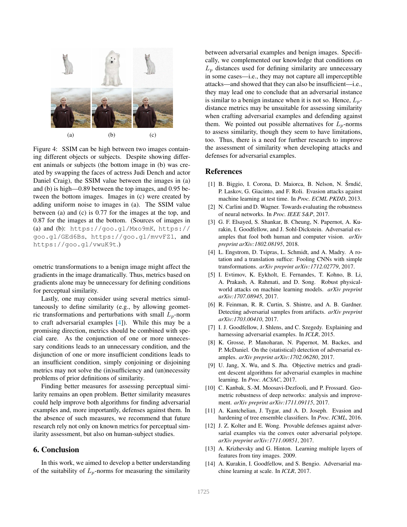<span id="page-7-14"></span>

Figure 4: SSIM can be high between two images containing different objects or subjects. Despite showing different animals or subjects (the bottom image in (b) was created by swapping the faces of actress Judi Dench and actor Daniel Craig), the SSIM value between the images in (a) and (b) is high—0.89 between the top images, and 0.95 between the bottom images. Images in (c) were created by adding uniform noise to images in (a). The SSIM value between (a) and (c) is 0.77 for the images at the top, and 0.87 for the images at the bottom. (Sources of images in (a) and (b): <https://goo.gl/Mxo9mK>, [https://](https://goo.gl/GEd6Bs) [goo.gl/GEd6Bs](https://goo.gl/GEd6Bs), <https://goo.gl/mvvFZ1>, and <https://goo.gl/vwuK9t>.)

ometric transformations to a benign image might affect the gradients in the image dramatically. Thus, metrics based on gradients alone may be unnecessary for defining conditions for perceptual similarity.

Lastly, one may consider using several metrics simultaneously to define similarity (e.g., by allowing geometric transformations and perturbations with small  $L_p$ -norm to craft adversarial examples [\[4\]](#page-7-5)). While this may be a promising direction, metrics should be combined with special care. As the conjunction of one or more unnecessary conditions leads to an unnecessary condition, and the disjunction of one or more insufficient conditions leads to an insufficient condition, simply conjoining or disjoining metrics may not solve the (in)sufficiency and (un)necessity problems of prior definitions of similarity.

Finding better measures for assessing perceptual similarity remains an open problem. Better similarity measures could help improve both algorithms for finding adversarial examples and, more importantly, defenses against them. In the absence of such measures, we recommend that future research rely not only on known metrics for perceptual similarity assessment, but also on human-subject studies.

# <span id="page-7-8"></span>6. Conclusion

In this work, we aimed to develop a better understanding of the suitability of  $L_p$ -norms for measuring the similarity between adversarial examples and benign images. Specifically, we complemented our knowledge that conditions on  $L_p$  distances used for defining similarity are unnecessary in some cases—i.e., they may not capture all imperceptible attacks—and showed that they can also be insufficient—i.e., they may lead one to conclude that an adversarial instance is similar to a benign instance when it is not so. Hence,  $L_p$ distance metrics may be unsuitable for assessing similarity when crafting adversarial examples and defending against them. We pointed out possible alternatives for  $L_p$ -norms to assess similarity, though they seem to have limitations, too. Thus, there is a need for further research to improve the assessment of similarity when developing attacks and defenses for adversarial examples.

### References

- <span id="page-7-0"></span>[1] B. Biggio, I. Corona, D. Maiorca, B. Nelson, N. Šrndić, P. Laskov, G. Giacinto, and F. Roli. Evasion attacks against machine learning at test time. In *Proc. ECML PKDD*, 2013.
- <span id="page-7-3"></span>[2] N. Carlini and D. Wagner. Towards evaluating the robustness of neural networks. In *Proc. IEEE S&P*, 2017.
- <span id="page-7-13"></span>[3] G. F. Elsayed, S. Shankar, B. Cheung, N. Papernot, A. Kurakin, I. Goodfellow, and J. Sohl-Dickstein. Adversarial examples that fool both human and computer vision. *arXiv preprint arXiv:1802.08195*, 2018.
- <span id="page-7-5"></span>[4] L. Engstrom, D. Tsipras, L. Schmidt, and A. Madry. A rotation and a translation suffice: Fooling CNNs with simple transformations. *arXiv preprint arXiv:1712.02779*, 2017.
- <span id="page-7-2"></span>[5] I. Evtimov, K. Eykholt, E. Fernandes, T. Kohno, B. Li, A. Prakash, A. Rahmati, and D. Song. Robust physicalworld attacks on machine learning models. *arXiv preprint arXiv:1707.08945*, 2017.
- <span id="page-7-11"></span>[6] R. Feinman, R. R. Curtin, S. Shintre, and A. B. Gardner. Detecting adversarial samples from artifacts. *arXiv preprint arXiv:1703.00410*, 2017.
- <span id="page-7-1"></span>[7] I. J. Goodfellow, J. Shlens, and C. Szegedy. Explaining and harnessing adversarial examples. In *ICLR*, 2015.
- <span id="page-7-12"></span>[8] K. Grosse, P. Manoharan, N. Papernot, M. Backes, and P. McDaniel. On the (statistical) detection of adversarial examples. *arXiv preprint arXiv:1702.06280*, 2017.
- <span id="page-7-15"></span>[9] U. Jang, X. Wu, and S. Jha. Objective metrics and gradient descent algorithms for adversarial examples in machine learning. In *Proc. ACSAC*, 2017.
- <span id="page-7-6"></span>[10] C. Kanbak, S.-M. Moosavi-Dezfooli, and P. Frossard. Geometric robustness of deep networks: analysis and improvement. *arXiv preprint arXiv:1711.09115*, 2017.
- <span id="page-7-9"></span>[11] A. Kantchelian, J. Tygar, and A. D. Joseph. Evasion and hardening of tree ensemble classifiers. In *Proc. ICML*, 2016.
- <span id="page-7-4"></span>[12] J. Z. Kolter and E. Wong. Provable defenses against adversarial examples via the convex outer adversarial polytope. *arXiv preprint arXiv:1711.00851*, 2017.
- <span id="page-7-7"></span>[13] A. Krizhevsky and G. Hinton. Learning multiple layers of features from tiny images. 2009.
- <span id="page-7-10"></span>[14] A. Kurakin, I. Goodfellow, and S. Bengio. Adversarial machine learning at scale. In *ICLR*, 2017.